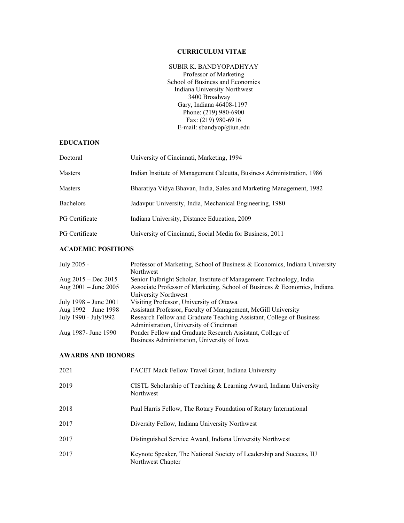## **CURRICULUM VITAE**

## SUBIR K. BANDYOPADHYAY

Professor of Marketing School of Business and Economics Indiana University Northwest 3400 Broadway Gary, Indiana 46408-1197 Phone: (219) 980-6900 Fax: (219) 980-6916 E-mail: sbandyop@iun.edu

## **EDUCATION**

| Doctoral              | University of Cincinnati, Marketing, 1994                              |
|-----------------------|------------------------------------------------------------------------|
| Masters               | Indian Institute of Management Calcutta, Business Administration, 1986 |
| <b>Masters</b>        | Bharatiya Vidya Bhavan, India, Sales and Marketing Management, 1982    |
| <b>Bachelors</b>      | Jadavpur University, India, Mechanical Engineering, 1980               |
| <b>PG</b> Certificate | Indiana University, Distance Education, 2009                           |
| <b>PG</b> Certificate | University of Cincinnati, Social Media for Business, 2011              |

# **ACADEMIC POSITIONS**

| July 2005 -            | Professor of Marketing, School of Business & Economics, Indiana University |
|------------------------|----------------------------------------------------------------------------|
|                        | Northwest                                                                  |
| Aug $2015 - Dec 2015$  | Senior Fulbright Scholar, Institute of Management Technology, India        |
| Aug $2001 -$ June 2005 | Associate Professor of Marketing, School of Business & Economics, Indiana  |
|                        | University Northwest                                                       |
| July 1998 – June 2001  | Visiting Professor, University of Ottawa                                   |
| Aug 1992 – June 1998   | Assistant Professor, Faculty of Management, McGill University              |
| July 1990 - July 1992  | Research Fellow and Graduate Teaching Assistant, College of Business       |
|                        | Administration, University of Cincinnati                                   |
| Aug 1987- June 1990    | Ponder Fellow and Graduate Research Assistant, College of                  |
|                        | Business Administration, University of Iowa                                |

#### **AWARDS AND HONORS**

| 2021 | FACET Mack Fellow Travel Grant, Indiana University                                       |
|------|------------------------------------------------------------------------------------------|
| 2019 | CISTL Scholarship of Teaching & Learning Award, Indiana University<br>Northwest          |
| 2018 | Paul Harris Fellow, The Rotary Foundation of Rotary International                        |
| 2017 | Diversity Fellow, Indiana University Northwest                                           |
| 2017 | Distinguished Service Award, Indiana University Northwest                                |
| 2017 | Keynote Speaker, The National Society of Leadership and Success, IU<br>Northwest Chapter |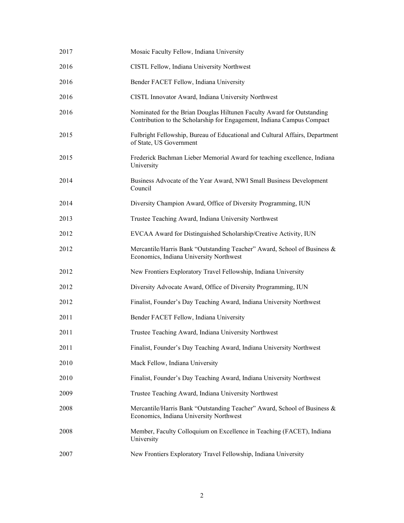| 2017 | Mosaic Faculty Fellow, Indiana University                                                                                                        |
|------|--------------------------------------------------------------------------------------------------------------------------------------------------|
| 2016 | CISTL Fellow, Indiana University Northwest                                                                                                       |
| 2016 | Bender FACET Fellow, Indiana University                                                                                                          |
| 2016 | CISTL Innovator Award, Indiana University Northwest                                                                                              |
| 2016 | Nominated for the Brian Douglas Hiltunen Faculty Award for Outstanding<br>Contribution to the Scholarship for Engagement, Indiana Campus Compact |
| 2015 | Fulbright Fellowship, Bureau of Educational and Cultural Affairs, Department<br>of State, US Government                                          |
| 2015 | Frederick Bachman Lieber Memorial Award for teaching excellence, Indiana<br>University                                                           |
| 2014 | Business Advocate of the Year Award, NWI Small Business Development<br>Council                                                                   |
| 2014 | Diversity Champion Award, Office of Diversity Programming, IUN                                                                                   |
| 2013 | Trustee Teaching Award, Indiana University Northwest                                                                                             |
| 2012 | EVCAA Award for Distinguished Scholarship/Creative Activity, IUN                                                                                 |
| 2012 | Mercantile/Harris Bank "Outstanding Teacher" Award, School of Business &<br>Economics, Indiana University Northwest                              |
| 2012 | New Frontiers Exploratory Travel Fellowship, Indiana University                                                                                  |
| 2012 | Diversity Advocate Award, Office of Diversity Programming, IUN                                                                                   |
| 2012 | Finalist, Founder's Day Teaching Award, Indiana University Northwest                                                                             |
| 2011 | Bender FACET Fellow, Indiana University                                                                                                          |
| 2011 | Trustee Teaching Award, Indiana University Northwest                                                                                             |
| 2011 | Finalist, Founder's Day Teaching Award, Indiana University Northwest                                                                             |
| 2010 | Mack Fellow, Indiana University                                                                                                                  |
| 2010 | Finalist, Founder's Day Teaching Award, Indiana University Northwest                                                                             |
| 2009 | Trustee Teaching Award, Indiana University Northwest                                                                                             |
| 2008 | Mercantile/Harris Bank "Outstanding Teacher" Award, School of Business &<br>Economics, Indiana University Northwest                              |
| 2008 | Member, Faculty Colloquium on Excellence in Teaching (FACET), Indiana<br>University                                                              |
| 2007 | New Frontiers Exploratory Travel Fellowship, Indiana University                                                                                  |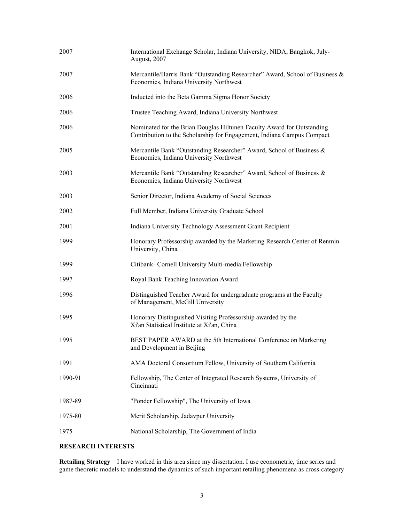| 2007    | International Exchange Scholar, Indiana University, NIDA, Bangkok, July-<br>August, 2007                                                         |
|---------|--------------------------------------------------------------------------------------------------------------------------------------------------|
| 2007    | Mercantile/Harris Bank "Outstanding Researcher" Award, School of Business &<br>Economics, Indiana University Northwest                           |
| 2006    | Inducted into the Beta Gamma Sigma Honor Society                                                                                                 |
| 2006    | Trustee Teaching Award, Indiana University Northwest                                                                                             |
| 2006    | Nominated for the Brian Douglas Hiltunen Faculty Award for Outstanding<br>Contribution to the Scholarship for Engagement, Indiana Campus Compact |
| 2005    | Mercantile Bank "Outstanding Researcher" Award, School of Business &<br>Economics, Indiana University Northwest                                  |
| 2003    | Mercantile Bank "Outstanding Researcher" Award, School of Business &<br>Economics, Indiana University Northwest                                  |
| 2003    | Senior Director, Indiana Academy of Social Sciences                                                                                              |
| 2002    | Full Member, Indiana University Graduate School                                                                                                  |
| 2001    | Indiana University Technology Assessment Grant Recipient                                                                                         |
| 1999    | Honorary Professorship awarded by the Marketing Research Center of Renmin<br>University, China                                                   |
| 1999    | Citibank- Cornell University Multi-media Fellowship                                                                                              |
| 1997    | Royal Bank Teaching Innovation Award                                                                                                             |
| 1996    | Distinguished Teacher Award for undergraduate programs at the Faculty<br>of Management, McGill University                                        |
| 1995    | Honorary Distinguished Visiting Professorship awarded by the<br>Xi'an Statistical Institute at Xi'an, China                                      |
| 1995    | BEST PAPER AWARD at the 5th International Conference on Marketing<br>and Development in Beijing                                                  |
| 1991    | AMA Doctoral Consortium Fellow, University of Southern California                                                                                |
| 1990-91 | Fellowship, The Center of Integrated Research Systems, University of<br>Cincinnati                                                               |
| 1987-89 | "Ponder Fellowship", The University of Iowa                                                                                                      |
| 1975-80 | Merit Scholarship, Jadavpur University                                                                                                           |
| 1975    | National Scholarship, The Government of India                                                                                                    |

# **RESEARCH INTERESTS**

**Retailing Strategy** – I have worked in this area since my dissertation. I use econometric, time series and game theoretic models to understand the dynamics of such important retailing phenomena as cross-category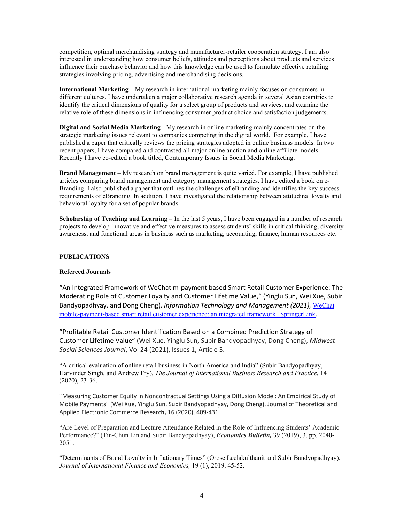competition, optimal merchandising strategy and manufacturer-retailer cooperation strategy. I am also interested in understanding how consumer beliefs, attitudes and perceptions about products and services influence their purchase behavior and how this knowledge can be used to formulate effective retailing strategies involving pricing, advertising and merchandising decisions.

**International Marketing** – My research in international marketing mainly focuses on consumers in different cultures. I have undertaken a major collaborative research agenda in several Asian countries to identify the critical dimensions of quality for a select group of products and services, and examine the relative role of these dimensions in influencing consumer product choice and satisfaction judgements.

**Digital and Social Media Marketing** - My research in online marketing mainly concentrates on the strategic marketing issues relevant to companies competing in the digital world. For example, I have published a paper that critically reviews the pricing strategies adopted in online business models. In two recent papers, I have compared and contrasted all major online auction and online affiliate models. Recently I have co-edited a book titled, Contemporary Issues in Social Media Marketing.

**Brand Management** – My research on brand management is quite varied. For example, I have published articles comparing brand management and category management strategies. I have edited a book on e-Branding. I also published a paper that outlines the challenges of eBranding and identifies the key success requirements of eBranding. In addition, I have investigated the relationship between attitudinal loyalty and behavioral loyalty for a set of popular brands.

**Scholarship of Teaching and Learning –** In the last 5 years, I have been engaged in a number of research projects to develop innovative and effective measures to assess students' skills in critical thinking, diversity awareness, and functional areas in business such as marketing, accounting, finance, human resources etc.

#### **PUBLICATIONS**

#### **Refereed Journals**

"An Integrated Framework of WeChat m-payment based Smart Retail Customer Experience: The Moderating Role of Customer Loyalty and Customer Lifetime Value," (Yinglu Sun, Wei Xue, Subir Bandyopadhyay, and Dong Cheng), *Information Technology and Management (2021),* [WeChat](https://link.springer.com/article/10.1007%2Fs10799-021-00346-4)  [mobile-payment-based smart retail customer experience: an](https://link.springer.com/article/10.1007%2Fs10799-021-00346-4) integrated framework | SpringerLink.

"Profitable Retail Customer Identification Based on a Combined Prediction Strategy of Customer Lifetime Value" (Wei Xue, Yinglu Sun, Subir Bandyopadhyay, Dong Cheng), *Midwest Social Sciences Journal*, Vol 24 (2021), Issues 1, Article 3.

"A critical evaluation of online retail business in North America and India" (Subir Bandyopadhyay, Harvinder Singh, and Andrew Fry), *The Journal of International Business Research and Practice*, 14 (2020), 23-36.

"Measuring Customer Equity in Noncontractual Settings Using a Diffusion Model: An Empirical Study of Mobile Payments" (Wei Xue, Yinglu Sun, Subir Bandyopadhyay, Dong Cheng), Journal of Theoretical and Applied Electronic Commerce Researc**h,** 16 (2020), 409-431.

"Are Level of Preparation and Lecture Attendance Related in the Role of Influencing Students' Academic Performance?" (Tin-Chun Lin and Subir Bandyopadhyay), *Economics Bulletin,* 39 (2019), 3, pp. 2040- 2051.

"Determinants of Brand Loyalty in Inflationary Times" (Orose Leelakulthanit and Subir Bandyopadhyay), *Journal of International Finance and Economics,* 19 (1), 2019, 45-52.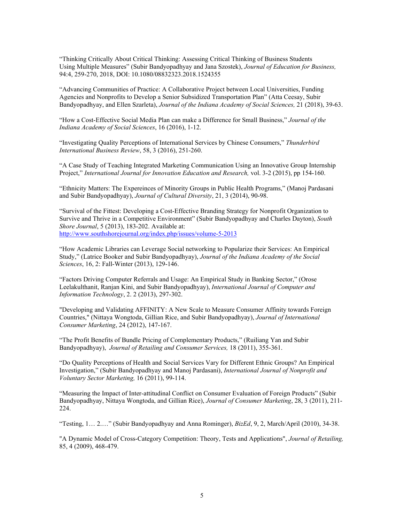"Thinking Critically About Critical Thinking: Assessing Critical Thinking of Business Students Using Multiple Measures" (Subir Bandyopadhyay and Jana Szostek), *Journal of Education for Business,*  94:4, 259-270, 2018, DOI: 10.1080/08832323.2018.1524355

"Advancing Communities of Practice: A Collaborative Project between Local Universities, Funding Agencies and Nonprofits to Develop a Senior Subsidized Transportation Plan" (Atta Ceesay, Subir Bandyopadhyay, and Ellen Szarleta), *Journal of the Indiana Academy of Social Sciences,* 21 (2018), 39-63.

"How a Cost-Effective Social Media Plan can make a Difference for Small Business," *Journal of the Indiana Academy of Social Sciences*, 16 (2016), 1-12.

"Investigating Quality Perceptions of International Services by Chinese Consumers," *Thunderbird International Business Review*, 58, 3 (2016), 251-260.

"A Case Study of Teaching Integrated Marketing Communication Using an Innovative Group Internship Project," *International Journal for Innovation Education and Research,* vol. 3-2 (2015), pp 154-160.

"Ethnicity Matters: The Expereinces of Minority Groups in Public Health Programs," (Manoj Pardasani and Subir Bandyopadhyay), *Journal of Cultural Diversity*, 21, 3 (2014), 90-98.

"Survival of the Fittest: Developing a Cost-Effective Branding Strategy for Nonprofit Organization to Survive and Thrive in a Competitive Environment" (Subir Bandyopadhyay and Charles Dayton), *South Shore Journal*, 5 (2013), 183-202. Available at: <http://www.southshorejournal.org/index.php/issues/volume-5-2013>

"How Academic Libraries can Leverage Social networking to Popularize their Services: An Empirical Study," (Latrice Booker and Subir Bandyopadhyay), *Journal of the Indiana Academy of the Social Sciences*, 16, 2: Fall-Winter (2013), 129-146.

"Factors Driving Computer Referrals and Usage: An Empirical Study in Banking Sector," (Orose Leelakulthanit, Ranjan Kini, and Subir Bandyopadhyay), *International Journal of Computer and Information Technology*, 2. 2 (2013), 297-302.

"Developing and Validating AFFINITY: A New Scale to Measure Consumer Affinity towards Foreign Countries," (Nittaya Wongtoda, Gillian Rice, and Subir Bandyopadhyay), *Journal of International Consumer Marketing*, 24 (2012), 147-167.

"The Profit Benefits of Bundle Pricing of Complementary Products," (Ruiliang Yan and Subir Bandyopadhyay), *Journal of Retailing and Consumer Services,* 18 (2011), 355-361.

"Do Quality Perceptions of Health and Social Services Vary for Different Ethnic Groups? An Empirical Investigation," (Subir Bandyopadhyay and Manoj Pardasani), *International Journal of Nonprofit and Voluntary Sector Marketing,* 16 (2011), 99-114.

"Measuring the Impact of Inter-attitudinal Conflict on Consumer Evaluation of Foreign Products" (Subir Bandyopadhyay, Nittaya Wongtoda, and Gillian Rice), *Journal of Consumer Marketing*, 28, 3 (2011), 211- 224.

"Testing, 1… 2.…" (Subir Bandyopadhyay and Anna Rominger), *BizEd*, 9, 2, March/April (2010), 34-38.

"A Dynamic Model of Cross-Category Competition: Theory, Tests and Applications", *Journal of Retailing,*  85, 4 (2009), 468-479.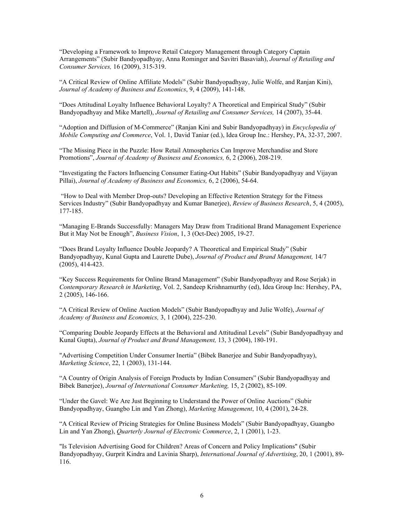"Developing a Framework to Improve Retail Category Management through Category Captain Arrangements" (Subir Bandyopadhyay, Anna Rominger and Savitri Basaviah), *Journal of Retailing and Consumer Services,* 16 (2009), 315-319.

"A Critical Review of Online Affiliate Models" (Subir Bandyopadhyay, Julie Wolfe, and Ranjan Kini), *Journal of Academy of Business and Economics*, 9, 4 (2009), 141-148.

"Does Attitudinal Loyalty Influence Behavioral Loyalty? A Theoretical and Empirical Study" (Subir Bandyopadhyay and Mike Martell), *Journal of Retailing and Consumer Services,* 14 (2007), 35-44.

"Adoption and Diffusion of M-Commerce" (Ranjan Kini and Subir Bandyopadhyay) in *Encyclopedia of Mobile Computing and Commerce*, Vol. 1, David Taniar (ed.), Idea Group Inc.: Hershey, PA, 32-37, 2007.

"The Missing Piece in the Puzzle: How Retail Atmospherics Can Improve Merchandise and Store Promotions", *Journal of Academy of Business and Economics,* 6, 2 (2006), 208-219.

"Investigating the Factors Influencing Consumer Eating-Out Habits" (Subir Bandyopadhyay and Vijayan Pillai), *Journal of Academy of Business and Economics,* 6, 2 (2006), 54-64.

"How to Deal with Member Drop-outs? Developing an Effective Retention Strategy for the Fitness Services Industry" (Subir Bandyopadhyay and Kumar Banerjee), *Review of Business Research*, 5, 4 (2005), 177-185.

"Managing E-Brands Successfully: Managers May Draw from Traditional Brand Management Experience But it May Not be Enough", *Business Vision*, 1, 3 (Oct-Dec) 2005, 19-27.

"Does Brand Loyalty Influence Double Jeopardy? A Theoretical and Empirical Study" (Subir Bandyopadhyay, Kunal Gupta and Laurette Dube), *Journal of Product and Brand Management,* 14/7 (2005), 414-423.

"Key Success Requirements for Online Brand Management" (Subir Bandyopadhyay and Rose Serjak) in *Contemporary Research in Marketing*, Vol. 2, Sandeep Krishnamurthy (ed), Idea Group Inc: Hershey, PA, 2 (2005), 146-166.

"A Critical Review of Online Auction Models" (Subir Bandyopadhyay and Julie Wolfe), *Journal of Academy of Business and Economics,* 3, 1 (2004), 225-230.

"Comparing Double Jeopardy Effects at the Behavioral and Attitudinal Levels" (Subir Bandyopadhyay and Kunal Gupta), *Journal of Product and Brand Management,* 13, 3 (2004), 180-191.

"Advertising Competition Under Consumer Inertia" (Bibek Banerjee and Subir Bandyopadhyay), *Marketing Science*, 22, 1 (2003), 131-144.

"A Country of Origin Analysis of Foreign Products by Indian Consumers" (Subir Bandyopadhyay and Bibek Banerjee), *Journal of International Consumer Marketing,* 15, 2 (2002), 85-109.

"Under the Gavel: We Are Just Beginning to Understand the Power of Online Auctions" (Subir Bandyopadhyay, Guangbo Lin and Yan Zhong), *Marketing Management*, 10, 4 (2001), 24-28.

"A Critical Review of Pricing Strategies for Online Business Models" (Subir Bandyopadhyay, Guangbo Lin and Yan Zhong), *Quarterly Journal of Electronic Commerce*, 2, 1 (2001), 1-23.

"Is Television Advertising Good for Children? Areas of Concern and Policy Implications" (Subir Bandyopadhyay, Gurprit Kindra and Lavinia Sharp), *International Journal of Advertising*, 20, 1 (2001), 89- 116.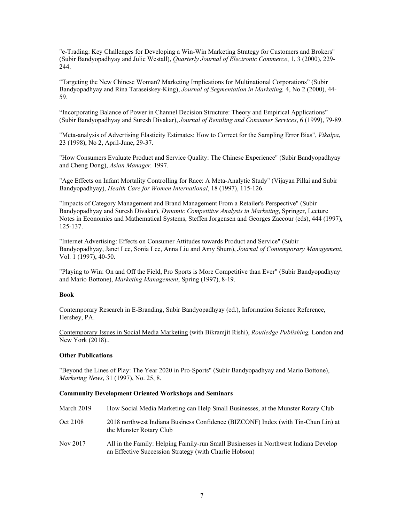"e-Trading: Key Challenges for Developing a Win-Win Marketing Strategy for Customers and Brokers" (Subir Bandyopadhyay and Julie Westall), *Quarterly Journal of Electronic Commerce*, 1, 3 (2000), 229- 244.

"Targeting the New Chinese Woman? Marketing Implications for Multinational Corporations" (Subir Bandyopadhyay and Rina Taraseiskey-King), *Journal of Segmentation in Marketing,* 4, No 2 (2000), 44- 59.

"Incorporating Balance of Power in Channel Decision Structure: Theory and Empirical Applications" (Subir Bandyopadhyay and Suresh Divakar), *Journal of Retailing and Consumer Services*, 6 (1999), 79-89.

"Meta-analysis of Advertising Elasticity Estimates: How to Correct for the Sampling Error Bias", *Vikalpa*, 23 (1998), No 2, April-June, 29-37.

"How Consumers Evaluate Product and Service Quality: The Chinese Experience" (Subir Bandyopadhyay and Cheng Dong), *Asian Manager,* 1997.

"Age Effects on Infant Mortality Controlling for Race: A Meta-Analytic Study" (Vijayan Pillai and Subir Bandyopadhyay), *Health Care for Women International*, 18 (1997), 115-126.

"Impacts of Category Management and Brand Management From a Retailer's Perspective" (Subir Bandyopadhyay and Suresh Divakar), *Dynamic Competitive Analysis in Marketing*, Springer, Lecture Notes in Economics and Mathematical Systems, Steffen Jorgensen and Georges Zaccour (eds), 444 (1997), 125-137.

"Internet Advertising: Effects on Consumer Attitudes towards Product and Service" (Subir Bandyopadhyay, Janet Lee, Sonia Lee, Anna Liu and Amy Shum), *Journal of Contemporary Management*, Vol. 1 (1997), 40-50.

"Playing to Win: On and Off the Field, Pro Sports is More Competitive than Ever" (Subir Bandyopadhyay and Mario Bottone), *Marketing Management*, Spring (1997), 8-19.

#### **Book**

Contemporary Research in E-Branding, Subir Bandyopadhyay (ed.), Information Science Reference, Hershey, PA.

Contemporary Issues in Social Media Marketing (with Bikramjit Rishi), *Routledge Publishing,* London and New York (2018)..

#### **Other Publications**

"Beyond the Lines of Play: The Year 2020 in Pro-Sports" (Subir Bandyopadhyay and Mario Bottone), *Marketing News*, 31 (1997), No. 25, 8.

#### **Community Development Oriented Workshops and Seminars**

| March 2019 | How Social Media Marketing can Help Small Businesses, at the Munster Rotary Club                                                              |
|------------|-----------------------------------------------------------------------------------------------------------------------------------------------|
| Oct 2108   | 2018 northwest Indiana Business Confidence (BIZCONF) Index (with Tin-Chun Lin) at<br>the Munster Rotary Club                                  |
| Nov 2017   | All in the Family: Helping Family-run Small Businesses in Northwest Indiana Develop<br>an Effective Succession Strategy (with Charlie Hobson) |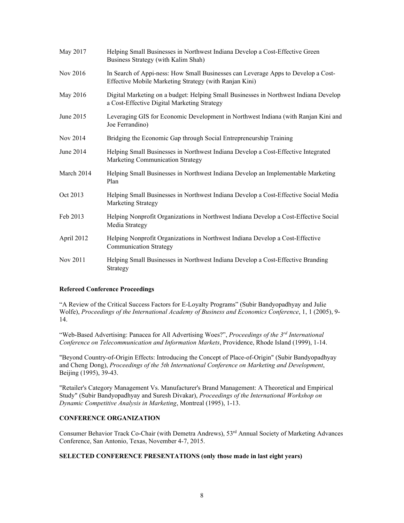| May 2017   | Helping Small Businesses in Northwest Indiana Develop a Cost-Effective Green<br>Business Strategy (with Kalim Shah)                         |
|------------|---------------------------------------------------------------------------------------------------------------------------------------------|
| Nov 2016   | In Search of Appi-ness: How Small Businesses can Leverage Apps to Develop a Cost-<br>Effective Mobile Marketing Strategy (with Ranjan Kini) |
| May 2016   | Digital Marketing on a budget: Helping Small Businesses in Northwest Indiana Develop<br>a Cost-Effective Digital Marketing Strategy         |
| June 2015  | Leveraging GIS for Economic Development in Northwest Indiana (with Ranjan Kini and<br>Joe Ferrandino)                                       |
| Nov 2014   | Bridging the Economic Gap through Social Entrepreneurship Training                                                                          |
| June 2014  | Helping Small Businesses in Northwest Indiana Develop a Cost-Effective Integrated<br>Marketing Communication Strategy                       |
| March 2014 | Helping Small Businesses in Northwest Indiana Develop an Implementable Marketing<br>Plan                                                    |
| Oct 2013   | Helping Small Businesses in Northwest Indiana Develop a Cost-Effective Social Media<br>Marketing Strategy                                   |
| Feb 2013   | Helping Nonprofit Organizations in Northwest Indiana Develop a Cost-Effective Social<br>Media Strategy                                      |
| April 2012 | Helping Nonprofit Organizations in Northwest Indiana Develop a Cost-Effective<br><b>Communication Strategy</b>                              |
| Nov 2011   | Helping Small Businesses in Northwest Indiana Develop a Cost-Effective Branding<br>Strategy                                                 |

## **Refereed Conference Proceedings**

"A Review of the Critical Success Factors for E-Loyalty Programs" (Subir Bandyopadhyay and Julie Wolfe), *Proceedings of the International Academy of Business and Economics Conference*, 1, 1 (2005), 9- 14.

"Web-Based Advertising: Panacea for All Advertising Woes?", *Proceedings of the 3rd International Conference on Telecommunication and Information Markets*, Providence, Rhode Island (1999), 1-14.

"Beyond Country-of-Origin Effects: Introducing the Concept of Place-of-Origin" (Subir Bandyopadhyay and Cheng Dong), *Proceedings of the 5th International Conference on Marketing and Development*, Beijing (1995), 39-43.

"Retailer's Category Management Vs. Manufacturer's Brand Management: A Theoretical and Empirical Study" (Subir Bandyopadhyay and Suresh Divakar), *Proceedings of the International Workshop on Dynamic Competitive Analysis in Marketing*, Montreal (1995), 1-13.

#### **CONFERENCE ORGANIZATION**

Consumer Behavior Track Co-Chair (with Demetra Andrews), 53<sup>rd</sup> Annual Society of Marketing Advances Conference, San Antonio, Texas, November 4-7, 2015.

#### **SELECTED CONFERENCE PRESENTATIONS (only those made in last eight years)**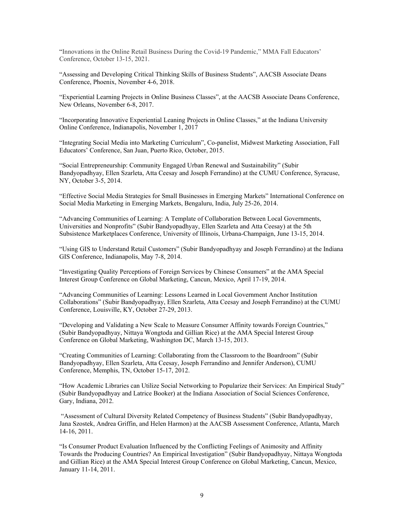"Innovations in the Online Retail Business During the Covid-19 Pandemic," MMA Fall Educators' Conference, October 13-15, 2021.

"Assessing and Developing Critical Thinking Skills of Business Students", AACSB Associate Deans Conference, Phoenix, November 4-6, 2018.

"Experiential Learning Projects in Online Business Classes", at the AACSB Associate Deans Conference, New Orleans, November 6-8, 2017.

"Incorporating Innovative Experiential Leaning Projects in Online Classes," at the Indiana University Online Conference, Indianapolis, November 1, 2017

"Integrating Social Media into Marketing Curriculum", Co-panelist, Midwest Marketing Association, Fall Educators' Conference, San Juan, Puerto Rico, October, 2015.

"Social Entrepreneurship: Community Engaged Urban Renewal and Sustainability" (Subir Bandyopadhyay, Ellen Szarleta, Atta Ceesay and Joseph Ferrandino) at the CUMU Conference, Syracuse, NY, October 3-5, 2014.

"Effective Social Media Strategies for Small Businesses in Emerging Markets" International Conference on Social Media Marketing in Emerging Markets, Bengaluru, India, July 25-26, 2014.

"Advancing Communities of Learning: A Template of Collaboration Between Local Governments, Universities and Nonprofits" (Subir Bandyopadhyay, Ellen Szarleta and Atta Ceesay) at the 5th Subsistence Marketplaces Conference, University of Illinois, Urbana-Champaign, June 13-15, 2014.

"Using GIS to Understand Retail Customers" (Subir Bandyopadhyay and Joseph Ferrandino) at the Indiana GIS Conference, Indianapolis, May 7-8, 2014.

"Investigating Quality Perceptions of Foreign Services by Chinese Consumers" at the AMA Special Interest Group Conference on Global Marketing, Cancun, Mexico, April 17-19, 2014.

"Advancing Communities of Learning: Lessons Learned in Local Government Anchor Institution Collaborations" (Subir Bandyopadhyay, Ellen Szarleta, Atta Ceesay and Joseph Ferrandino) at the CUMU Conference, Louisville, KY, October 27-29, 2013.

"Developing and Validating a New Scale to Measure Consumer Affinity towards Foreign Countries," (Subir Bandyopadhyay, Nittaya Wongtoda and Gillian Rice) at the AMA Special Interest Group Conference on Global Marketing, Washington DC, March 13-15, 2013.

"Creating Communities of Learning: Collaborating from the Classroom to the Boardroom" (Subir Bandyopadhyay, Ellen Szarleta, Atta Ceesay, Joseph Ferrandino and Jennifer Anderson), CUMU Conference, Memphis, TN, October 15-17, 2012.

"How Academic Libraries can Utilize Social Networking to Popularize their Services: An Empirical Study" (Subir Bandyopadhyay and Latrice Booker) at the Indiana Association of Social Sciences Conference, Gary, Indiana, 2012.

"Assessment of Cultural Diversity Related Competency of Business Students" (Subir Bandyopadhyay, Jana Szostek, Andrea Griffin, and Helen Harmon) at the AACSB Assessment Conference, Atlanta, March 14-16, 2011.

"Is Consumer Product Evaluation Influenced by the Conflicting Feelings of Animosity and Affinity Towards the Producing Countries? An Empirical Investigation" (Subir Bandyopadhyay, Nittaya Wongtoda and Gillian Rice) at the AMA Special Interest Group Conference on Global Marketing, Cancun, Mexico, January 11-14, 2011.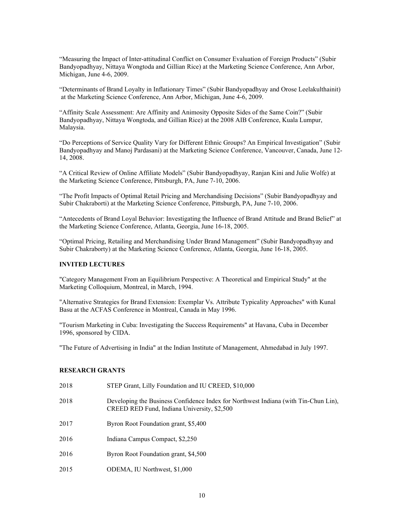"Measuring the Impact of Inter-attitudinal Conflict on Consumer Evaluation of Foreign Products" (Subir Bandyopadhyay, Nittaya Wongtoda and Gillian Rice) at the Marketing Science Conference, Ann Arbor, Michigan, June 4-6, 2009.

"Determinants of Brand Loyalty in Inflationary Times" (Subir Bandyopadhyay and Orose Leelakulthainit) at the Marketing Science Conference, Ann Arbor, Michigan, June 4-6, 2009.

"Affinity Scale Assessment: Are Affinity and Animosity Opposite Sides of the Same Coin?" (Subir Bandyopadhyay, Nittaya Wongtoda, and Gillian Rice) at the 2008 AIB Conference, Kuala Lumpur, Malaysia.

"Do Perceptions of Service Quality Vary for Different Ethnic Groups? An Empirical Investigation" (Subir Bandyopadhyay and Manoj Pardasani) at the Marketing Science Conference, Vancouver, Canada, June 12- 14, 2008.

"A Critical Review of Online Affiliate Models" (Subir Bandyopadhyay, Ranjan Kini and Julie Wolfe) at the Marketing Science Conference, Pittsburgh, PA, June 7-10, 2006.

"The Profit Impacts of Optimal Retail Pricing and Merchandising Decisions" (Subir Bandyopadhyay and Subir Chakraborti) at the Marketing Science Conference, Pittsburgh, PA, June 7-10, 2006.

"Antecedents of Brand Loyal Behavior: Investigating the Influence of Brand Attitude and Brand Belief" at the Marketing Science Conference, Atlanta, Georgia, June 16-18, 2005.

"Optimal Pricing, Retailing and Merchandising Under Brand Management" (Subir Bandyopadhyay and Subir Chakraborty) at the Marketing Science Conference, Atlanta, Georgia, June 16-18, 2005.

# **INVITED LECTURES**

"Category Management From an Equilibrium Perspective: A Theoretical and Empirical Study" at the Marketing Colloquium, Montreal, in March, 1994.

"Alternative Strategies for Brand Extension: Exemplar Vs. Attribute Typicality Approaches" with Kunal Basu at the ACFAS Conference in Montreal, Canada in May 1996.

"Tourism Marketing in Cuba: Investigating the Success Requirements" at Havana, Cuba in December 1996, sponsored by CIDA.

"The Future of Advertising in India" at the Indian Institute of Management, Ahmedabad in July 1997.

#### **RESEARCH GRANTS**

| 2018 | STEP Grant, Lilly Foundation and IU CREED, \$10,000                                                                                |
|------|------------------------------------------------------------------------------------------------------------------------------------|
| 2018 | Developing the Business Confidence Index for Northwest Indiana (with Tin-Chun Lin),<br>CREED RED Fund, Indiana University, \$2,500 |
| 2017 | Byron Root Foundation grant, \$5,400                                                                                               |
| 2016 | Indiana Campus Compact, \$2,250                                                                                                    |
| 2016 | Byron Root Foundation grant, \$4,500                                                                                               |
| 2015 | ODEMA, IU Northwest, \$1,000                                                                                                       |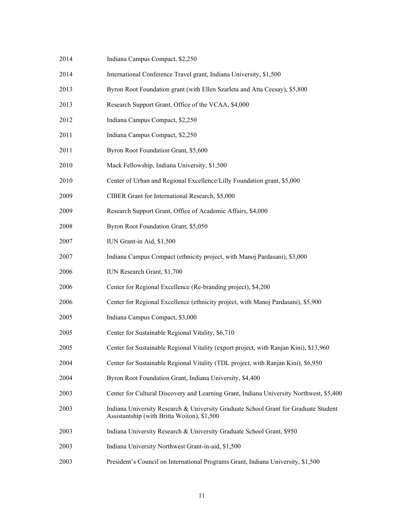| 2014 | Indiana Campus Compact, \$2,250                                                                                                    |
|------|------------------------------------------------------------------------------------------------------------------------------------|
| 2014 | International Conference Travel grant, Indiana University, \$1,500                                                                 |
| 2013 | Byron Root Foundation grant (with Ellen Szarleta and Atta Ceesay), \$5,800                                                         |
| 2013 | Research Support Grant, Office of the VCAA, \$4,000                                                                                |
| 2012 | Indiana Campus Compact, \$2,250                                                                                                    |
| 2011 | Indiana Campus Compact, \$2,250                                                                                                    |
| 2011 | Byron Root Foundation Grant, \$5,600                                                                                               |
| 2010 | Mack Fellowship, Indiana University, \$1,500                                                                                       |
| 2010 | Center of Urban and Regional Excellence/Lilly Foundation grant, \$5,000                                                            |
| 2009 | CIBER Grant for International Research, \$5,000                                                                                    |
| 2009 | Research Support Grant, Office of Academic Affairs, \$4,000                                                                        |
| 2008 | Byron Root Foundation Grant, \$5,050                                                                                               |
| 2007 | IUN Grant-in Aid, \$1,500                                                                                                          |
| 2007 | Indiana Campus Compact (ethnicity project, with Manoj Pardasani), \$3,000                                                          |
| 2006 | IUN Research Grant, \$1,700                                                                                                        |
| 2006 | Center for Regional Excellence (Re-branding project), \$4,200                                                                      |
| 2006 | Center for Regional Excellence (ethnicity project, with Manoj Pardasani), \$5,900                                                  |
| 2005 | Indiana Campus Compact, \$3,000                                                                                                    |
| 2005 | Center for Sustainable Regional Vitality, \$6,710                                                                                  |
| 2005 | Center for Sustainable Regional Vitality (export project, with Ranjan Kini), \$13,960                                              |
| 2004 | Center for Sustainable Regional Vitality (TDL project, with Ranjan Kini), \$6,950                                                  |
| 2004 | Byron Root Foundation Grant, Indiana University, \$4,400                                                                           |
| 2003 | Center for Cultural Discovery and Learning Grant, Indiana University Northwest, \$5,400                                            |
| 2003 | Indiana University Research & University Graduate School Grant for Graduate Student<br>Assistantship (with Britta Woiton), \$1,500 |
| 2003 | Indiana University Research & University Graduate School Grant, \$950                                                              |
| 2003 | Indiana University Northwest Grant-in-aid, \$1,500                                                                                 |
| 2003 | President's Council on International Programs Grant, Indiana University, \$1,500                                                   |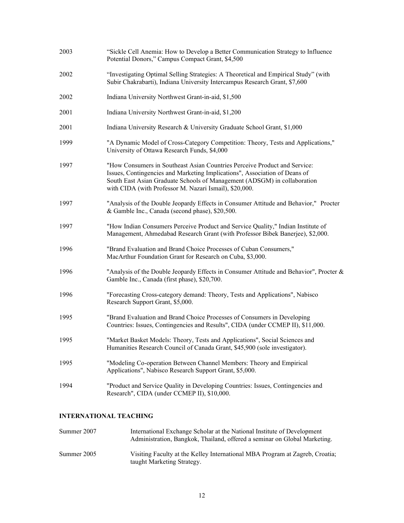| 2003 | "Sickle Cell Anemia: How to Develop a Better Communication Strategy to Influence<br>Potential Donors," Campus Compact Grant, \$4,500                                                                                                                                                          |
|------|-----------------------------------------------------------------------------------------------------------------------------------------------------------------------------------------------------------------------------------------------------------------------------------------------|
| 2002 | "Investigating Optimal Selling Strategies: A Theoretical and Empirical Study" (with<br>Subir Chakrabarti), Indiana University Intercampus Research Grant, \$7,600                                                                                                                             |
| 2002 | Indiana University Northwest Grant-in-aid, \$1,500                                                                                                                                                                                                                                            |
| 2001 | Indiana University Northwest Grant-in-aid, \$1,200                                                                                                                                                                                                                                            |
| 2001 | Indiana University Research & University Graduate School Grant, \$1,000                                                                                                                                                                                                                       |
| 1999 | "A Dynamic Model of Cross-Category Competition: Theory, Tests and Applications,"<br>University of Ottawa Research Funds, \$4,000                                                                                                                                                              |
| 1997 | "How Consumers in Southeast Asian Countries Perceive Product and Service:<br>Issues, Contingencies and Marketing Implications", Association of Deans of<br>South East Asian Graduate Schools of Management (ADSGM) in collaboration<br>with CIDA (with Professor M. Nazari Ismail), \$20,000. |
| 1997 | "Analysis of the Double Jeopardy Effects in Consumer Attitude and Behavior," Procter<br>& Gamble Inc., Canada (second phase), \$20,500.                                                                                                                                                       |
| 1997 | "How Indian Consumers Perceive Product and Service Quality," Indian Institute of<br>Management, Ahmedabad Research Grant (with Professor Bibek Banerjee), \$2,000.                                                                                                                            |
| 1996 | "Brand Evaluation and Brand Choice Processes of Cuban Consumers,"<br>MacArthur Foundation Grant for Research on Cuba, \$3,000.                                                                                                                                                                |
| 1996 | "Analysis of the Double Jeopardy Effects in Consumer Attitude and Behavior", Procter &<br>Gamble Inc., Canada (first phase), \$20,700.                                                                                                                                                        |
| 1996 | "Forecasting Cross-category demand: Theory, Tests and Applications", Nabisco<br>Research Support Grant, \$5,000.                                                                                                                                                                              |
| 1995 | "Brand Evaluation and Brand Choice Processes of Consumers in Developing<br>Countries: Issues, Contingencies and Results", CIDA (under CCMEP II), \$11,000.                                                                                                                                    |
| 1995 | "Market Basket Models: Theory, Tests and Applications", Social Sciences and<br>Humanities Research Council of Canada Grant, \$45,900 (sole investigator).                                                                                                                                     |
| 1995 | "Modeling Co-operation Between Channel Members: Theory and Empirical<br>Applications", Nabisco Research Support Grant, \$5,000.                                                                                                                                                               |
| 1994 | "Product and Service Quality in Developing Countries: Issues, Contingencies and<br>Research", CIDA (under CCMEP II), \$10,000.                                                                                                                                                                |

# **INTERNATIONAL TEACHING**

| Summer 2007 | International Exchange Scholar at the National Institute of Development<br>Administration, Bangkok, Thailand, offered a seminar on Global Marketing. |
|-------------|------------------------------------------------------------------------------------------------------------------------------------------------------|
| Summer 2005 | Visiting Faculty at the Kelley International MBA Program at Zagreb, Croatia;<br>taught Marketing Strategy.                                           |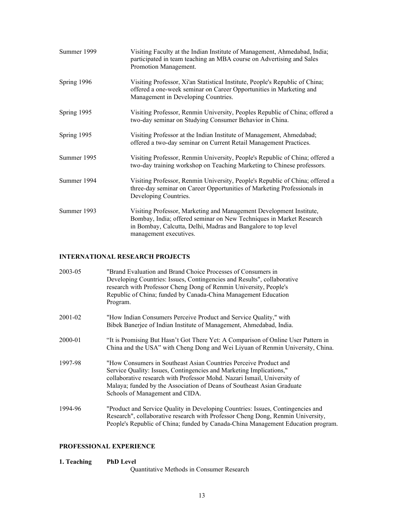| Summer 1999 | Visiting Faculty at the Indian Institute of Management, Ahmedabad, India;<br>participated in team teaching an MBA course on Advertising and Sales<br>Promotion Management.                                                            |
|-------------|---------------------------------------------------------------------------------------------------------------------------------------------------------------------------------------------------------------------------------------|
| Spring 1996 | Visiting Professor, Xi'an Statistical Institute, People's Republic of China;<br>offered a one-week seminar on Career Opportunities in Marketing and<br>Management in Developing Countries.                                            |
| Spring 1995 | Visiting Professor, Renmin University, Peoples Republic of China; offered a<br>two-day seminar on Studying Consumer Behavior in China.                                                                                                |
| Spring 1995 | Visiting Professor at the Indian Institute of Management, Ahmedabad;<br>offered a two-day seminar on Current Retail Management Practices.                                                                                             |
| Summer 1995 | Visiting Professor, Renmin University, People's Republic of China; offered a<br>two-day training workshop on Teaching Marketing to Chinese professors.                                                                                |
| Summer 1994 | Visiting Professor, Renmin University, People's Republic of China; offered a<br>three-day seminar on Career Opportunities of Marketing Professionals in<br>Developing Countries.                                                      |
| Summer 1993 | Visiting Professor, Marketing and Management Development Institute,<br>Bombay, India; offered seminar on New Techniques in Market Research<br>in Bombay, Calcutta, Delhi, Madras and Bangalore to top level<br>management executives. |

#### **INTERNATIONAL RESEARCH PROJECTS**

| 2003-05 | "Brand Evaluation and Brand Choice Processes of Consumers in<br>Developing Countries: Issues, Contingencies and Results", collaborative<br>research with Professor Cheng Dong of Renmin University, People's<br>Republic of China; funded by Canada-China Management Education<br>Program.                                       |
|---------|----------------------------------------------------------------------------------------------------------------------------------------------------------------------------------------------------------------------------------------------------------------------------------------------------------------------------------|
| 2001-02 | "How Indian Consumers Perceive Product and Service Quality," with<br>Bibek Banerjee of Indian Institute of Management, Ahmedabad, India.                                                                                                                                                                                         |
| 2000-01 | "It is Promising But Hasn't Got There Yet: A Comparison of Online User Pattern in<br>China and the USA" with Cheng Dong and Wei Liyuan of Renmin University, China.                                                                                                                                                              |
| 1997-98 | "How Consumers in Southeast Asian Countries Perceive Product and<br>Service Quality: Issues, Contingencies and Marketing Implications,"<br>collaborative research with Professor Mohd. Nazari Ismail, University of<br>Malaya; funded by the Association of Deans of Southeast Asian Graduate<br>Schools of Management and CIDA. |
| 1994-96 | "Product and Service Quality in Developing Countries: Issues, Contingencies and<br>Research", collaborative research with Professor Cheng Dong, Renmin University,<br>People's Republic of China; funded by Canada-China Management Education program.                                                                           |

# **PROFESSIONAL EXPERIENCE**

# **1. Teaching PhD Level**

Quantitative Methods in Consumer Research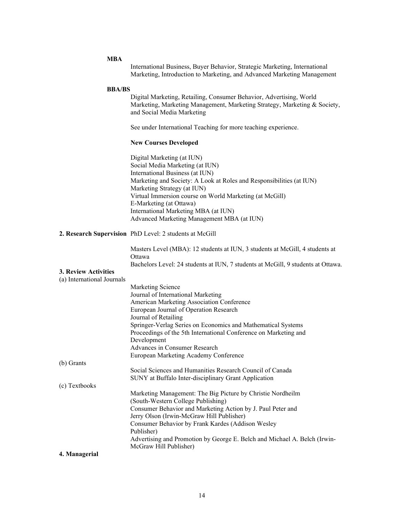| <b>MBA</b>                     | International Business, Buyer Behavior, Strategic Marketing, International<br>Marketing, Introduction to Marketing, and Advanced Marketing Management                                                                                                                                                                                                                                               |
|--------------------------------|-----------------------------------------------------------------------------------------------------------------------------------------------------------------------------------------------------------------------------------------------------------------------------------------------------------------------------------------------------------------------------------------------------|
|                                |                                                                                                                                                                                                                                                                                                                                                                                                     |
| <b>BBA/BS</b>                  | Digital Marketing, Retailing, Consumer Behavior, Advertising, World<br>Marketing, Marketing Management, Marketing Strategy, Marketing & Society,<br>and Social Media Marketing                                                                                                                                                                                                                      |
|                                | See under International Teaching for more teaching experience.                                                                                                                                                                                                                                                                                                                                      |
|                                | <b>New Courses Developed</b>                                                                                                                                                                                                                                                                                                                                                                        |
|                                | Digital Marketing (at IUN)<br>Social Media Marketing (at IUN)<br>International Business (at IUN)<br>Marketing and Society: A Look at Roles and Responsibilities (at IUN)<br>Marketing Strategy (at IUN)<br>Virtual Immersion course on World Marketing (at McGill)<br>E-Marketing (at Ottawa)<br>International Marketing MBA (at IUN)<br>Advanced Marketing Management MBA (at IUN)                 |
|                                | 2. Research Supervision PhD Level: 2 students at McGill                                                                                                                                                                                                                                                                                                                                             |
| 3. Review Activities           | Masters Level (MBA): 12 students at IUN, 3 students at McGill, 4 students at<br>Ottawa<br>Bachelors Level: 24 students at IUN, 7 students at McGill, 9 students at Ottawa.                                                                                                                                                                                                                          |
| (a) International Journals     |                                                                                                                                                                                                                                                                                                                                                                                                     |
|                                | Marketing Science<br>Journal of International Marketing<br>American Marketing Association Conference<br>European Journal of Operation Research<br>Journal of Retailing<br>Springer-Verlag Series on Economics and Mathematical Systems<br>Proceedings of the 5th International Conference on Marketing and<br>Development<br>Advances in Consumer Research<br>European Marketing Academy Conference |
| (b) Grants                     |                                                                                                                                                                                                                                                                                                                                                                                                     |
|                                | Social Sciences and Humanities Research Council of Canada<br>SUNY at Buffalo Inter-disciplinary Grant Application                                                                                                                                                                                                                                                                                   |
| (c) Textbooks<br>4. Managerial | Marketing Management: The Big Picture by Christie Nordheilm<br>(South-Western College Publishing)<br>Consumer Behavior and Marketing Action by J. Paul Peter and<br>Jerry Olson (Irwin-McGraw Hill Publisher)<br>Consumer Behavior by Frank Kardes (Addison Wesley<br>Publisher)<br>Advertising and Promotion by George E. Belch and Michael A. Belch (Irwin-<br>McGraw Hill Publisher)             |
|                                |                                                                                                                                                                                                                                                                                                                                                                                                     |